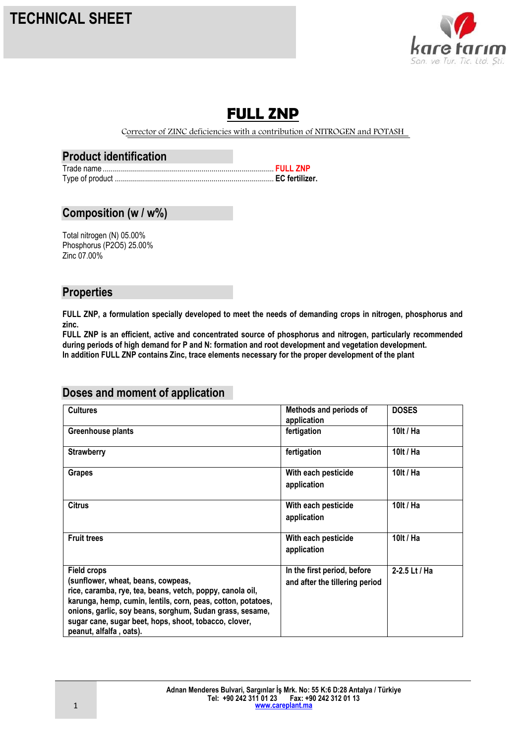# **TECHNICAL SHEET**



# **FULL ZNP**

Corrector of ZINC deficiencies with a contribution of NITROGEN and POTASH

#### **Product identification**

### **Composition (w / w%)**

Total nitrogen (N) 05.00% Phosphorus (P2O5) 25.00% Zinc 07.00%

#### **Properties**

**FULL ZNP, a formulation specially developed to meet the needs of demanding crops in nitrogen, phosphorus and zinc.** 

**FULL ZNP is an efficient, active and concentrated source of phosphorus and nitrogen, particularly recommended during periods of high demand for P and N: formation and root development and vegetation development. In addition FULL ZNP contains Zinc, trace elements necessary for the proper development of the plant**

### **Doses and moment of application**

| <b>Cultures</b>                                                                                                           | Methods and periods of<br>application                         | <b>DOSES</b>  |
|---------------------------------------------------------------------------------------------------------------------------|---------------------------------------------------------------|---------------|
| Greenhouse plants                                                                                                         | fertigation                                                   | 10lt / Ha     |
| <b>Strawberry</b>                                                                                                         | fertigation                                                   | 10lt / Ha     |
| <b>Grapes</b>                                                                                                             | With each pesticide<br>application                            | 10lt / Ha     |
| <b>Citrus</b>                                                                                                             | With each pesticide<br>application                            | 10lt / Ha     |
| <b>Fruit trees</b>                                                                                                        | With each pesticide<br>application                            | 10lt / Ha     |
| <b>Field crops</b><br>(sunflower, wheat, beans, cowpeas,                                                                  | In the first period, before<br>and after the tillering period | 2-2.5 Lt / Ha |
| rice, caramba, rye, tea, beans, vetch, poppy, canola oil,<br>karunga, hemp, cumin, lentils, corn, peas, cotton, potatoes, |                                                               |               |
| onions, garlic, soy beans, sorghum, Sudan grass, sesame,<br>sugar cane, sugar beet, hops, shoot, tobacco, clover,         |                                                               |               |
| peanut, alfalfa, oats).                                                                                                   |                                                               |               |